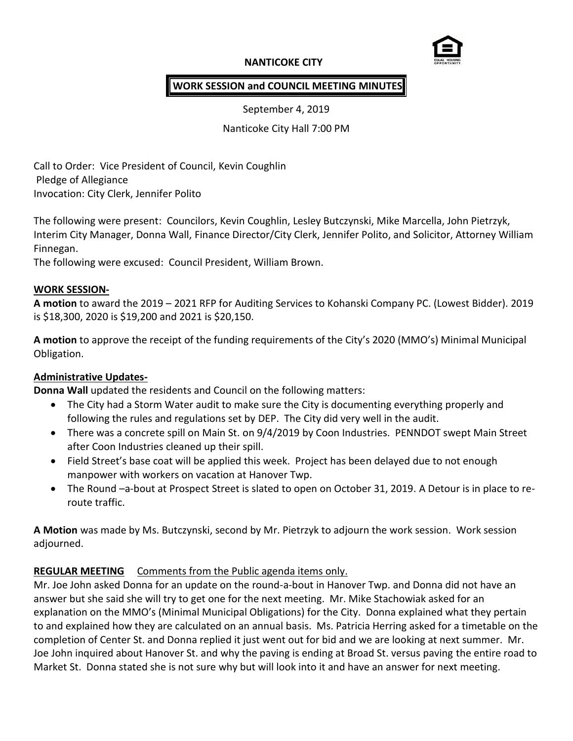### **NANTICOKE CITY**



#### **WORK SESSION and COUNCIL MEETING MINUTES**

September 4, 2019

Nanticoke City Hall 7:00 PM

Call to Order: Vice President of Council, Kevin Coughlin Pledge of Allegiance Invocation: City Clerk, Jennifer Polito

The following were present: Councilors, Kevin Coughlin, Lesley Butczynski, Mike Marcella, John Pietrzyk, Interim City Manager, Donna Wall, Finance Director/City Clerk, Jennifer Polito, and Solicitor, Attorney William Finnegan.

The following were excused: Council President, William Brown.

#### **WORK SESSION-**

**A motion** to award the 2019 – 2021 RFP for Auditing Services to Kohanski Company PC. (Lowest Bidder). 2019 is \$18,300, 2020 is \$19,200 and 2021 is \$20,150.

**A motion** to approve the receipt of the funding requirements of the City's 2020 (MMO's) Minimal Municipal Obligation.

#### **Administrative Updates-**

**Donna Wall** updated the residents and Council on the following matters:

- The City had a Storm Water audit to make sure the City is documenting everything properly and following the rules and regulations set by DEP. The City did very well in the audit.
- There was a concrete spill on Main St. on 9/4/2019 by Coon Industries. PENNDOT swept Main Street after Coon Industries cleaned up their spill.
- Field Street's base coat will be applied this week. Project has been delayed due to not enough manpower with workers on vacation at Hanover Twp.
- The Round –a-bout at Prospect Street is slated to open on October 31, 2019. A Detour is in place to reroute traffic.

**A Motion** was made by Ms. Butczynski, second by Mr. Pietrzyk to adjourn the work session. Work session adjourned.

### **REGULAR MEETING** Comments from the Public agenda items only.

Mr. Joe John asked Donna for an update on the round-a-bout in Hanover Twp. and Donna did not have an answer but she said she will try to get one for the next meeting. Mr. Mike Stachowiak asked for an explanation on the MMO's (Minimal Municipal Obligations) for the City. Donna explained what they pertain to and explained how they are calculated on an annual basis. Ms. Patricia Herring asked for a timetable on the completion of Center St. and Donna replied it just went out for bid and we are looking at next summer. Mr. Joe John inquired about Hanover St. and why the paving is ending at Broad St. versus paving the entire road to Market St. Donna stated she is not sure why but will look into it and have an answer for next meeting.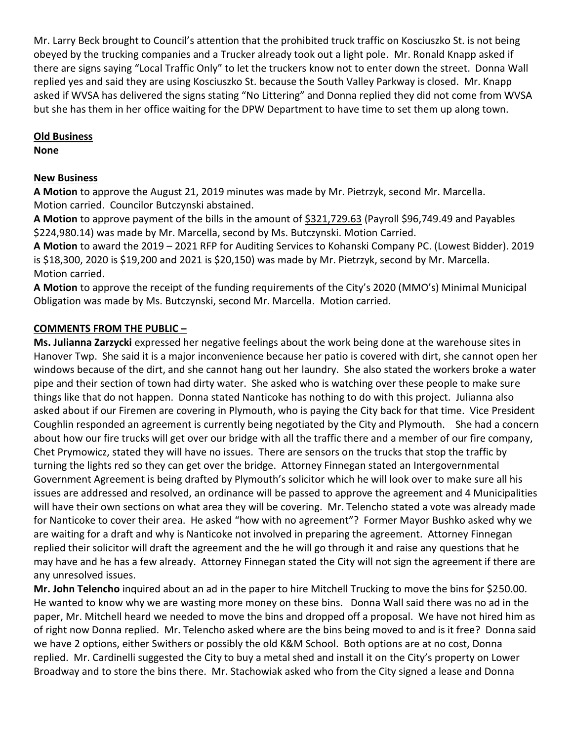Mr. Larry Beck brought to Council's attention that the prohibited truck traffic on Kosciuszko St. is not being obeyed by the trucking companies and a Trucker already took out a light pole. Mr. Ronald Knapp asked if there are signs saying "Local Traffic Only" to let the truckers know not to enter down the street. Donna Wall replied yes and said they are using Kosciuszko St. because the South Valley Parkway is closed. Mr. Knapp asked if WVSA has delivered the signs stating "No Littering" and Donna replied they did not come from WVSA but she has them in her office waiting for the DPW Department to have time to set them up along town.

### **Old Business**

**None**

## **New Business**

**A Motion** to approve the August 21, 2019 minutes was made by Mr. Pietrzyk, second Mr. Marcella. Motion carried. Councilor Butczynski abstained.

**A Motion** to approve payment of the bills in the amount of \$321,729.63 (Payroll \$96,749.49 and Payables \$224,980.14) was made by Mr. Marcella, second by Ms. Butczynski. Motion Carried.

**A Motion** to award the 2019 – 2021 RFP for Auditing Services to Kohanski Company PC. (Lowest Bidder). 2019 is \$18,300, 2020 is \$19,200 and 2021 is \$20,150) was made by Mr. Pietrzyk, second by Mr. Marcella. Motion carried.

**A Motion** to approve the receipt of the funding requirements of the City's 2020 (MMO's) Minimal Municipal Obligation was made by Ms. Butczynski, second Mr. Marcella. Motion carried.

# **COMMENTS FROM THE PUBLIC –**

**Ms. Julianna Zarzycki** expressed her negative feelings about the work being done at the warehouse sites in Hanover Twp. She said it is a major inconvenience because her patio is covered with dirt, she cannot open her windows because of the dirt, and she cannot hang out her laundry. She also stated the workers broke a water pipe and their section of town had dirty water. She asked who is watching over these people to make sure things like that do not happen. Donna stated Nanticoke has nothing to do with this project. Julianna also asked about if our Firemen are covering in Plymouth, who is paying the City back for that time. Vice President Coughlin responded an agreement is currently being negotiated by the City and Plymouth. She had a concern about how our fire trucks will get over our bridge with all the traffic there and a member of our fire company, Chet Prymowicz, stated they will have no issues. There are sensors on the trucks that stop the traffic by turning the lights red so they can get over the bridge. Attorney Finnegan stated an Intergovernmental Government Agreement is being drafted by Plymouth's solicitor which he will look over to make sure all his issues are addressed and resolved, an ordinance will be passed to approve the agreement and 4 Municipalities will have their own sections on what area they will be covering. Mr. Telencho stated a vote was already made for Nanticoke to cover their area. He asked "how with no agreement"? Former Mayor Bushko asked why we are waiting for a draft and why is Nanticoke not involved in preparing the agreement. Attorney Finnegan replied their solicitor will draft the agreement and the he will go through it and raise any questions that he may have and he has a few already. Attorney Finnegan stated the City will not sign the agreement if there are any unresolved issues.

**Mr. John Telencho** inquired about an ad in the paper to hire Mitchell Trucking to move the bins for \$250.00. He wanted to know why we are wasting more money on these bins. Donna Wall said there was no ad in the paper, Mr. Mitchell heard we needed to move the bins and dropped off a proposal. We have not hired him as of right now Donna replied. Mr. Telencho asked where are the bins being moved to and is it free? Donna said we have 2 options, either Swithers or possibly the old K&M School. Both options are at no cost, Donna replied. Mr. Cardinelli suggested the City to buy a metal shed and install it on the City's property on Lower Broadway and to store the bins there. Mr. Stachowiak asked who from the City signed a lease and Donna